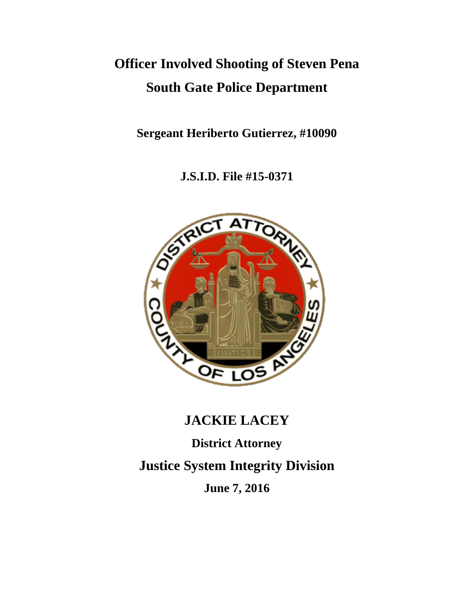# **Officer Involved Shooting of Steven Pena South Gate Police Department**

**Sergeant Heriberto Gutierrez, #10090**

**J.S.I.D. File #15-0371**



# **JACKIE LACEY**

**District Attorney**

**Justice System Integrity Division**

**June 7, 2016**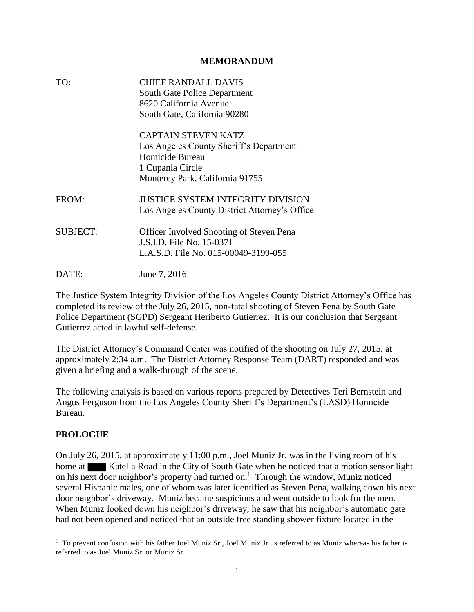#### **MEMORANDUM**

| TO:             | <b>CHIEF RANDALL DAVIS</b><br><b>South Gate Police Department</b><br>8620 California Avenue<br>South Gate, California 90280                     |
|-----------------|-------------------------------------------------------------------------------------------------------------------------------------------------|
|                 | <b>CAPTAIN STEVEN KATZ</b><br>Los Angeles County Sheriff's Department<br>Homicide Bureau<br>1 Cupania Circle<br>Monterey Park, California 91755 |
| FROM:           | <b>JUSTICE SYSTEM INTEGRITY DIVISION</b><br>Los Angeles County District Attorney's Office                                                       |
| <b>SUBJECT:</b> | <b>Officer Involved Shooting of Steven Pena</b><br>J.S.I.D. File No. 15-0371<br>L.A.S.D. File No. 015-00049-3199-055                            |
| DATE:           | June 7, 2016                                                                                                                                    |

The Justice System Integrity Division of the Los Angeles County District Attorney's Office has completed its review of the July 26, 2015, non-fatal shooting of Steven Pena by South Gate Police Department (SGPD) Sergeant Heriberto Gutierrez. It is our conclusion that Sergeant Gutierrez acted in lawful self-defense.

The District Attorney's Command Center was notified of the shooting on July 27, 2015, at approximately 2:34 a.m. The District Attorney Response Team (DART) responded and was given a briefing and a walk-through of the scene.

The following analysis is based on various reports prepared by Detectives Teri Bernstein and Angus Ferguson from the Los Angeles County Sheriff's Department's (LASD) Homicide Bureau.

## **PROLOGUE**

On July 26, 2015, at approximately 11:00 p.m., Joel Muniz Jr. was in the living room of his home at Katella Road in the City of South Gate when he noticed that a motion sensor light on his next door neighbor's property had turned on.<sup>1</sup> Through the window, Muniz noticed several Hispanic males, one of whom was later identified as Steven Pena, walking down his next door neighbor's driveway. Muniz became suspicious and went outside to look for the men. When Muniz looked down his neighbor's driveway, he saw that his neighbor's automatic gate had not been opened and noticed that an outside free standing shower fixture located in the

 $\overline{a}$ <sup>1</sup> To prevent confusion with his father Joel Muniz Sr., Joel Muniz Jr. is referred to as Muniz whereas his father is referred to as Joel Muniz Sr. or Muniz Sr..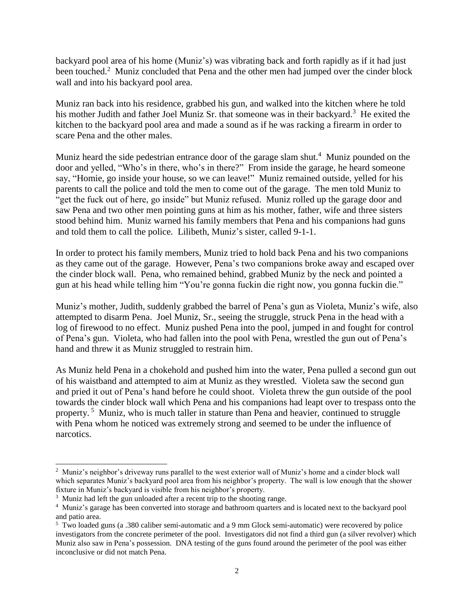backyard pool area of his home (Muniz's) was vibrating back and forth rapidly as if it had just been touched.<sup>2</sup> Muniz concluded that Pena and the other men had jumped over the cinder block wall and into his backyard pool area.

Muniz ran back into his residence, grabbed his gun, and walked into the kitchen where he told his mother Judith and father Joel Muniz Sr. that someone was in their backyard.<sup>3</sup> He exited the kitchen to the backyard pool area and made a sound as if he was racking a firearm in order to scare Pena and the other males.

Muniz heard the side pedestrian entrance door of the garage slam shut.<sup>4</sup> Muniz pounded on the door and yelled, "Who's in there, who's in there?" From inside the garage, he heard someone say, "Homie, go inside your house, so we can leave!" Muniz remained outside, yelled for his parents to call the police and told the men to come out of the garage. The men told Muniz to "get the fuck out of here, go inside" but Muniz refused. Muniz rolled up the garage door and saw Pena and two other men pointing guns at him as his mother, father, wife and three sisters stood behind him. Muniz warned his family members that Pena and his companions had guns and told them to call the police. Lilibeth, Muniz's sister, called 9-1-1.

In order to protect his family members, Muniz tried to hold back Pena and his two companions as they came out of the garage. However, Pena's two companions broke away and escaped over the cinder block wall. Pena, who remained behind, grabbed Muniz by the neck and pointed a gun at his head while telling him "You're gonna fuckin die right now, you gonna fuckin die."

Muniz's mother, Judith, suddenly grabbed the barrel of Pena's gun as Violeta, Muniz's wife, also attempted to disarm Pena. Joel Muniz, Sr., seeing the struggle, struck Pena in the head with a log of firewood to no effect. Muniz pushed Pena into the pool, jumped in and fought for control of Pena's gun. Violeta, who had fallen into the pool with Pena, wrestled the gun out of Pena's hand and threw it as Muniz struggled to restrain him.

As Muniz held Pena in a chokehold and pushed him into the water, Pena pulled a second gun out of his waistband and attempted to aim at Muniz as they wrestled. Violeta saw the second gun and pried it out of Pena's hand before he could shoot. Violeta threw the gun outside of the pool towards the cinder block wall which Pena and his companions had leapt over to trespass onto the property.<sup>5</sup> Muniz, who is much taller in stature than Pena and heavier, continued to struggle with Pena whom he noticed was extremely strong and seemed to be under the influence of narcotics.

 $\overline{\phantom{a}}$ 

<sup>&</sup>lt;sup>2</sup> Muniz's neighbor's driveway runs parallel to the west exterior wall of Muniz's home and a cinder block wall which separates Muniz's backyard pool area from his neighbor's property. The wall is low enough that the shower fixture in Muniz's backyard is visible from his neighbor's property.

 $3 \text{ M}$ uniz had left the gun unloaded after a recent trip to the shooting range.

<sup>4</sup> Muniz's garage has been converted into storage and bathroom quarters and is located next to the backyard pool and patio area.

<sup>&</sup>lt;sup>5</sup> Two loaded guns (a .380 caliber semi-automatic and a 9 mm Glock semi-automatic) were recovered by police investigators from the concrete perimeter of the pool. Investigators did not find a third gun (a silver revolver) which Muniz also saw in Pena's possession. DNA testing of the guns found around the perimeter of the pool was either inconclusive or did not match Pena.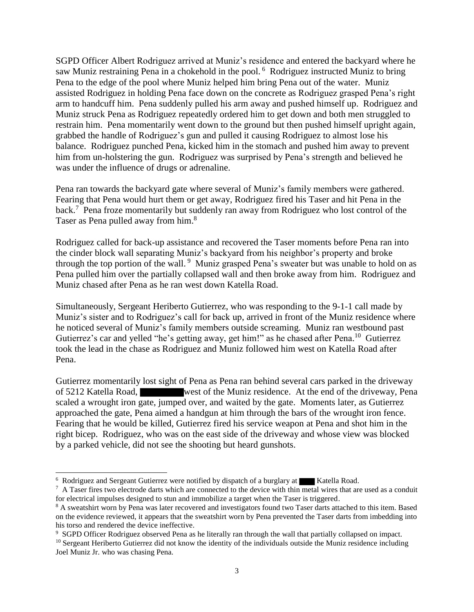SGPD Officer Albert Rodriguez arrived at Muniz's residence and entered the backyard where he saw Muniz restraining Pena in a chokehold in the pool. <sup>6</sup> Rodriguez instructed Muniz to bring Pena to the edge of the pool where Muniz helped him bring Pena out of the water. Muniz assisted Rodriguez in holding Pena face down on the concrete as Rodriguez grasped Pena's right arm to handcuff him. Pena suddenly pulled his arm away and pushed himself up. Rodriguez and Muniz struck Pena as Rodriguez repeatedly ordered him to get down and both men struggled to restrain him. Pena momentarily went down to the ground but then pushed himself upright again, grabbed the handle of Rodriguez's gun and pulled it causing Rodriguez to almost lose his balance. Rodriguez punched Pena, kicked him in the stomach and pushed him away to prevent him from un-holstering the gun. Rodriguez was surprised by Pena's strength and believed he was under the influence of drugs or adrenaline.

Pena ran towards the backyard gate where several of Muniz's family members were gathered. Fearing that Pena would hurt them or get away, Rodriguez fired his Taser and hit Pena in the back.<sup>7</sup> Pena froze momentarily but suddenly ran away from Rodriguez who lost control of the Taser as Pena pulled away from him.<sup>8</sup>

Rodriguez called for back-up assistance and recovered the Taser moments before Pena ran into the cinder block wall separating Muniz's backyard from his neighbor's property and broke through the top portion of the wall.<sup>9</sup> Muniz grasped Pena's sweater but was unable to hold on as Pena pulled him over the partially collapsed wall and then broke away from him. Rodriguez and Muniz chased after Pena as he ran west down Katella Road.

Simultaneously, Sergeant Heriberto Gutierrez, who was responding to the 9-1-1 call made by Muniz's sister and to Rodriguez's call for back up, arrived in front of the Muniz residence where he noticed several of Muniz's family members outside screaming. Muniz ran westbound past Gutierrez's car and yelled "he's getting away, get him!" as he chased after Pena.<sup>10</sup> Gutierrez took the lead in the chase as Rodriguez and Muniz followed him west on Katella Road after Pena.

Gutierrez momentarily lost sight of Pena as Pena ran behind several cars parked in the driveway of 5212 Katella Road, west of the Muniz residence. At the end of the driveway, Pena scaled a wrought iron gate, jumped over, and waited by the gate. Moments later, as Gutierrez approached the gate, Pena aimed a handgun at him through the bars of the wrought iron fence. Fearing that he would be killed, Gutierrez fired his service weapon at Pena and shot him in the right bicep. Rodriguez, who was on the east side of the driveway and whose view was blocked by a parked vehicle, did not see the shooting but heard gunshots.

l

<sup>&</sup>lt;sup>6</sup> Rodriguez and Sergeant Gutierrez were notified by dispatch of a burglary at Katella Road.

 $7$  A Taser fires two electrode darts which are connected to the device with thin metal wires that are used as a conduit for electrical impulses designed to stun and immobilize a target when the Taser is triggered.

<sup>&</sup>lt;sup>8</sup> A sweatshirt worn by Pena was later recovered and investigators found two Taser darts attached to this item. Based on the evidence reviewed, it appears that the sweatshirt worn by Pena prevented the Taser darts from imbedding into his torso and rendered the device ineffective.

<sup>9</sup> SGPD Officer Rodriguez observed Pena as he literally ran through the wall that partially collapsed on impact.

 $10$  Sergeant Heriberto Gutierrez did not know the identity of the individuals outside the Muniz residence including Joel Muniz Jr. who was chasing Pena.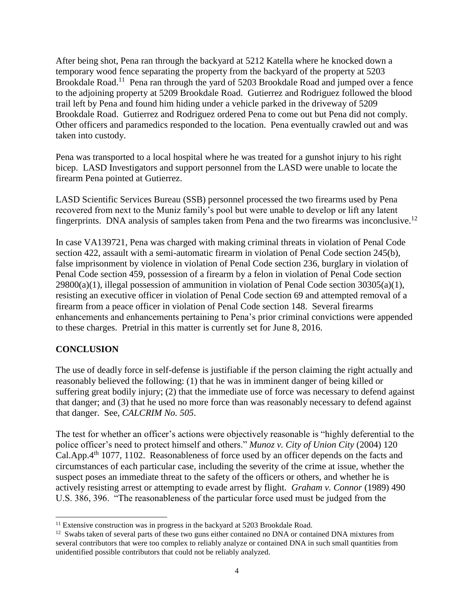After being shot, Pena ran through the backyard at 5212 Katella where he knocked down a temporary wood fence separating the property from the backyard of the property at 5203 Brookdale Road.<sup>11</sup> Pena ran through the yard of 5203 Brookdale Road and jumped over a fence to the adjoining property at 5209 Brookdale Road. Gutierrez and Rodriguez followed the blood trail left by Pena and found him hiding under a vehicle parked in the driveway of 5209 Brookdale Road. Gutierrez and Rodriguez ordered Pena to come out but Pena did not comply. Other officers and paramedics responded to the location. Pena eventually crawled out and was taken into custody.

Pena was transported to a local hospital where he was treated for a gunshot injury to his right bicep. LASD Investigators and support personnel from the LASD were unable to locate the firearm Pena pointed at Gutierrez.

LASD Scientific Services Bureau (SSB) personnel processed the two firearms used by Pena recovered from next to the Muniz family's pool but were unable to develop or lift any latent fingerprints. DNA analysis of samples taken from Pena and the two firearms was inconclusive.<sup>12</sup>

In case VA139721, Pena was charged with making criminal threats in violation of Penal Code section 422, assault with a semi-automatic firearm in violation of Penal Code section 245(b), false imprisonment by violence in violation of Penal Code section 236, burglary in violation of Penal Code section 459, possession of a firearm by a felon in violation of Penal Code section  $29800(a)(1)$ , illegal possession of ammunition in violation of Penal Code section 30305(a)(1), resisting an executive officer in violation of Penal Code section 69 and attempted removal of a firearm from a peace officer in violation of Penal Code section 148. Several firearms enhancements and enhancements pertaining to Pena's prior criminal convictions were appended to these charges. Pretrial in this matter is currently set for June 8, 2016.

## **CONCLUSION**

 $\overline{a}$ 

The use of deadly force in self-defense is justifiable if the person claiming the right actually and reasonably believed the following: (1) that he was in imminent danger of being killed or suffering great bodily injury; (2) that the immediate use of force was necessary to defend against that danger; and (3) that he used no more force than was reasonably necessary to defend against that danger. See, *CALCRIM No. 505*.

The test for whether an officer's actions were objectively reasonable is "highly deferential to the police officer's need to protect himself and others." *Munoz v. City of Union City* (2004) 120 Cal.App.4<sup>th</sup> 1077, 1102. Reasonableness of force used by an officer depends on the facts and circumstances of each particular case, including the severity of the crime at issue, whether the suspect poses an immediate threat to the safety of the officers or others, and whether he is actively resisting arrest or attempting to evade arrest by flight. *Graham v. Connor* (1989) 490 U.S. 386, 396. "The reasonableness of the particular force used must be judged from the

 $11$  Extensive construction was in progress in the backyard at 5203 Brookdale Road.

 $12$  Swabs taken of several parts of these two guns either contained no DNA or contained DNA mixtures from several contributors that were too complex to reliably analyze or contained DNA in such small quantities from unidentified possible contributors that could not be reliably analyzed.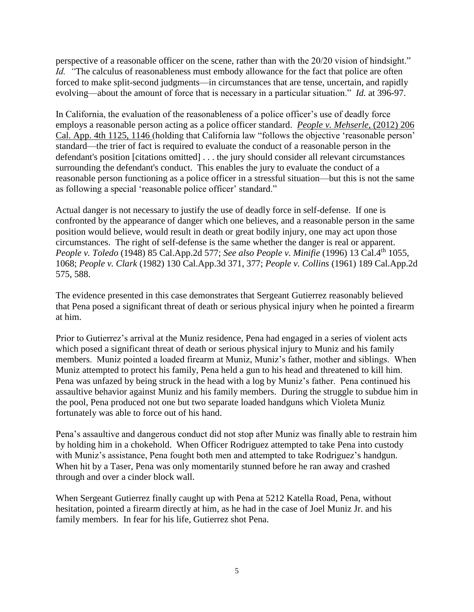perspective of a reasonable officer on the scene, rather than with the 20/20 vision of hindsight." *Id.* "The calculus of reasonableness must embody allowance for the fact that police are often forced to make split-second judgments—in circumstances that are tense, uncertain, and rapidly evolving—about the amount of force that is necessary in a particular situation." *Id.* at 396-97.

In California, the evaluation of the reasonableness of a police officer's use of deadly force employs a reasonable person acting as a police officer standard. *[People v. Mehserle](https://advance.lexis.com/api/document/collection/cases/id/55V4-VH01-F04B-N0PT-00000-00?context=1000516)*, (2012) 206 [Cal. App. 4th 1125, 1146 \(](https://advance.lexis.com/api/document/collection/cases/id/55V4-VH01-F04B-N0PT-00000-00?context=1000516)holding that California law "follows the objective 'reasonable person' standard—the trier of fact is required to evaluate the conduct of a reasonable person in the defendant's position [citations omitted] . . . the jury should consider all relevant circumstances surrounding the defendant's conduct. This enables the jury to evaluate the conduct of a reasonable person functioning as a police officer in a stressful situation—but this is not the same as following a special 'reasonable police officer' standard."

Actual danger is not necessary to justify the use of deadly force in self-defense. If one is confronted by the appearance of danger which one believes, and a reasonable person in the same position would believe, would result in death or great bodily injury, one may act upon those circumstances. The right of self-defense is the same whether the danger is real or apparent. *People v. Toledo* (1948) 85 Cal.App.2d 577; *See also People v. Minifie* (1996) 13 Cal.4th 1055, 1068; *People v. Clark* (1982) 130 Cal.App.3d 371, 377; *People v. Collins* (1961) 189 Cal.App.2d 575, 588.

The evidence presented in this case demonstrates that Sergeant Gutierrez reasonably believed that Pena posed a significant threat of death or serious physical injury when he pointed a firearm at him.

Prior to Gutierrez's arrival at the Muniz residence, Pena had engaged in a series of violent acts which posed a significant threat of death or serious physical injury to Muniz and his family members. Muniz pointed a loaded firearm at Muniz, Muniz's father, mother and siblings. When Muniz attempted to protect his family, Pena held a gun to his head and threatened to kill him. Pena was unfazed by being struck in the head with a log by Muniz's father. Pena continued his assaultive behavior against Muniz and his family members. During the struggle to subdue him in the pool, Pena produced not one but two separate loaded handguns which Violeta Muniz fortunately was able to force out of his hand.

Pena's assaultive and dangerous conduct did not stop after Muniz was finally able to restrain him by holding him in a chokehold. When Officer Rodriguez attempted to take Pena into custody with Muniz's assistance, Pena fought both men and attempted to take Rodriguez's handgun. When hit by a Taser, Pena was only momentarily stunned before he ran away and crashed through and over a cinder block wall.

When Sergeant Gutierrez finally caught up with Pena at 5212 Katella Road, Pena, without hesitation, pointed a firearm directly at him, as he had in the case of Joel Muniz Jr. and his family members. In fear for his life, Gutierrez shot Pena.